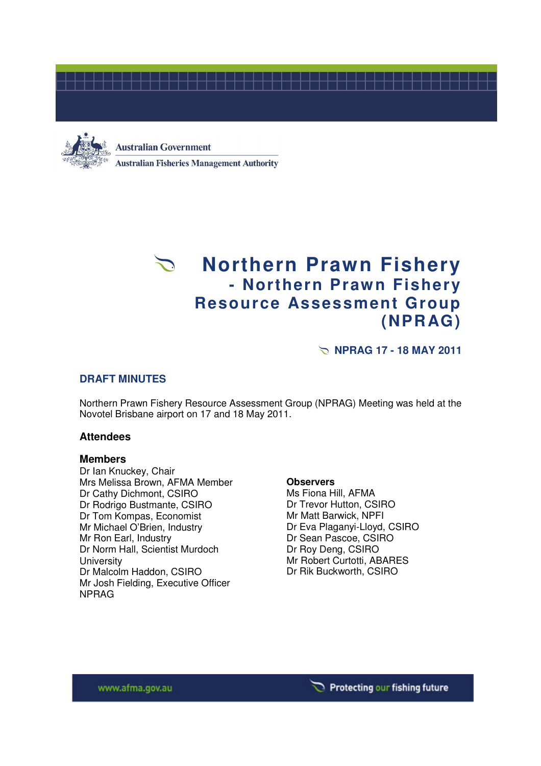



#### **Australian Government**

**Australian Fisheries Management Authority** 

# **Northern Prawn Fishery - Northern Prawn Fishery Resource Assessment Group (NPRAG)**

**NPRAG 17 - 18 MAY 2011** 

# **DRAFT MINUTES**

Northern Prawn Fishery Resource Assessment Group (NPRAG) Meeting was held at the Novotel Brisbane airport on 17 and 18 May 2011.

#### **Attendees**

#### **Members**

Dr Ian Knuckey, Chair Mrs Melissa Brown, AFMA Member Dr Cathy Dichmont, CSIRO Dr Rodrigo Bustmante, CSIRO Dr Tom Kompas, Economist Mr Michael O'Brien, Industry Mr Ron Earl, Industry Dr Norm Hall, Scientist Murdoch **University** Dr Malcolm Haddon, CSIRO Mr Josh Fielding, Executive Officer NPRAG

# **Observers**

Ms Fiona Hill, AFMA Dr Trevor Hutton, CSIRO Mr Matt Barwick, NPFI Dr Eva Plaganyi-Lloyd, CSIRO Dr Sean Pascoe, CSIRO Dr Roy Deng, CSIRO Mr Robert Curtotti, ABARES Dr Rik Buckworth, CSIRO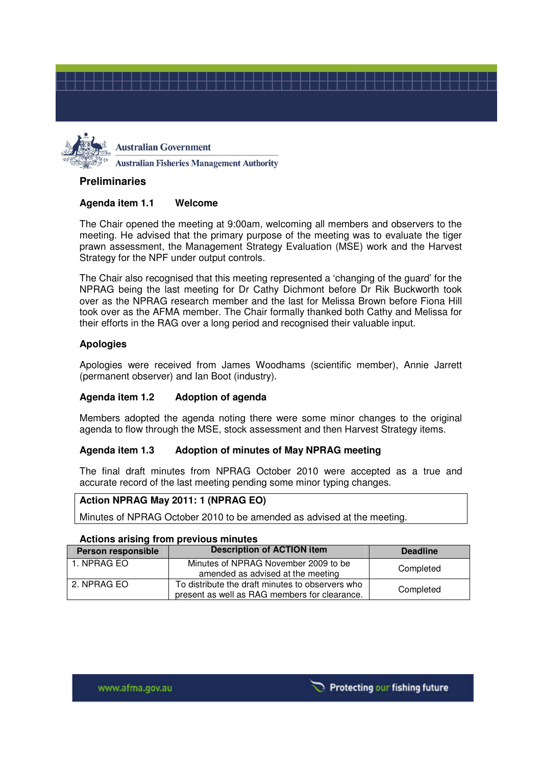



## **Preliminaries**

## **Agenda item 1.1 Welcome**

The Chair opened the meeting at 9:00am, welcoming all members and observers to the meeting. He advised that the primary purpose of the meeting was to evaluate the tiger prawn assessment, the Management Strategy Evaluation (MSE) work and the Harvest Strategy for the NPF under output controls.

The Chair also recognised that this meeting represented a 'changing of the guard' for the NPRAG being the last meeting for Dr Cathy Dichmont before Dr Rik Buckworth took over as the NPRAG research member and the last for Melissa Brown before Fiona Hill took over as the AFMA member. The Chair formally thanked both Cathy and Melissa for their efforts in the RAG over a long period and recognised their valuable input.

#### **Apologies**

Apologies were received from James Woodhams (scientific member), Annie Jarrett (permanent observer) and Ian Boot (industry).

#### **Agenda item 1.2 Adoption of agenda**

Members adopted the agenda noting there were some minor changes to the original agenda to flow through the MSE, stock assessment and then Harvest Strategy items.

#### **Agenda item 1.3 Adoption of minutes of May NPRAG meeting**

The final draft minutes from NPRAG October 2010 were accepted as a true and accurate record of the last meeting pending some minor typing changes.

## **Action NPRAG May 2011: 1 (NPRAG EO)**

Minutes of NPRAG October 2010 to be amended as advised at the meeting.

#### **Actions arising from previous minutes**

| Person responsible | <b>Description of ACTION item</b>                                                                 | <b>Deadline</b> |
|--------------------|---------------------------------------------------------------------------------------------------|-----------------|
| . NPRAG EO         | Minutes of NPRAG November 2009 to be<br>amended as advised at the meeting                         | Completed       |
| 2. NPRAG EO        | To distribute the draft minutes to observers who<br>present as well as RAG members for clearance. | Completed       |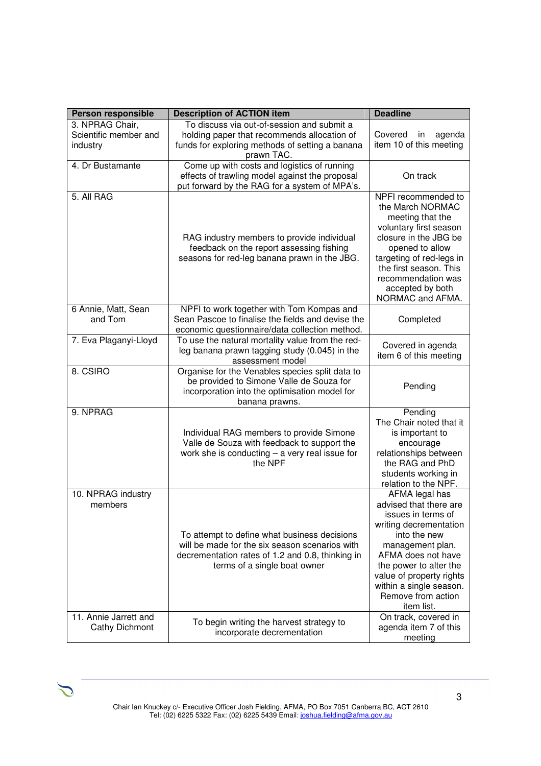| Person responsible                                   | <b>Description of ACTION item</b>                                                                                                                                                  | <b>Deadline</b>                                                                                                                                                                                                                                                                |
|------------------------------------------------------|------------------------------------------------------------------------------------------------------------------------------------------------------------------------------------|--------------------------------------------------------------------------------------------------------------------------------------------------------------------------------------------------------------------------------------------------------------------------------|
| 3. NPRAG Chair,<br>Scientific member and<br>industry | To discuss via out-of-session and submit a<br>holding paper that recommends allocation of<br>funds for exploring methods of setting a banana<br>prawn TAC.                         | Covered<br>agenda<br>in<br>item 10 of this meeting                                                                                                                                                                                                                             |
| 4. Dr Bustamante                                     | Come up with costs and logistics of running<br>effects of trawling model against the proposal<br>put forward by the RAG for a system of MPA's.                                     | On track                                                                                                                                                                                                                                                                       |
| 5. All RAG                                           | RAG industry members to provide individual<br>feedback on the report assessing fishing<br>seasons for red-leg banana prawn in the JBG.                                             | NPFI recommended to<br>the March NORMAC<br>meeting that the<br>voluntary first season<br>closure in the JBG be<br>opened to allow<br>targeting of red-legs in<br>the first season. This<br>recommendation was<br>accepted by both<br>NORMAC and AFMA.                          |
| 6 Annie, Matt, Sean<br>and Tom                       | NPFI to work together with Tom Kompas and<br>Sean Pascoe to finalise the fields and devise the<br>economic questionnaire/data collection method.                                   | Completed                                                                                                                                                                                                                                                                      |
| 7. Eva Plaganyi-Lloyd                                | To use the natural mortality value from the red-<br>leg banana prawn tagging study (0.045) in the<br>assessment model                                                              | Covered in agenda<br>item 6 of this meeting                                                                                                                                                                                                                                    |
| 8. CSIRO                                             | Organise for the Venables species split data to<br>be provided to Simone Valle de Souza for<br>incorporation into the optimisation model for<br>banana prawns.                     | Pending                                                                                                                                                                                                                                                                        |
| 9. NPRAG                                             | Individual RAG members to provide Simone<br>Valle de Souza with feedback to support the<br>work she is conducting $-$ a very real issue for<br>the NPF                             | Pending<br>The Chair noted that it<br>is important to<br>encourage<br>relationships between<br>the RAG and PhD<br>students working in<br>relation to the NPF.                                                                                                                  |
| 10. NPRAG industry<br>members                        | To attempt to define what business decisions<br>will be made for the six season scenarios with<br>decrementation rates of 1.2 and 0.8, thinking in<br>terms of a single boat owner | <b>AFMA</b> legal has<br>advised that there are<br>issues in terms of<br>writing decrementation<br>into the new<br>management plan.<br>AFMA does not have<br>the power to alter the<br>value of property rights<br>within a single season.<br>Remove from action<br>item list. |
| 11. Annie Jarrett and<br><b>Cathy Dichmont</b>       | To begin writing the harvest strategy to<br>incorporate decrementation                                                                                                             | On track, covered in<br>agenda item 7 of this<br>meeting                                                                                                                                                                                                                       |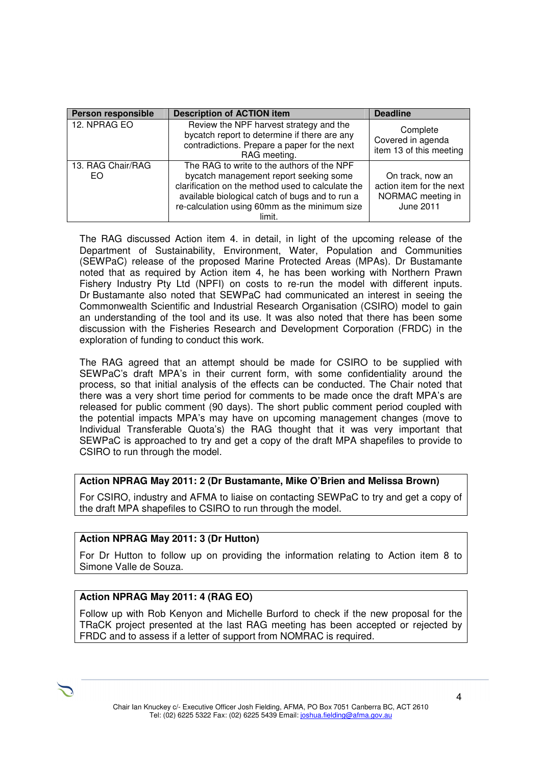| <b>Person responsible</b> | <b>Description of ACTION item</b>                                                                                                                                                                                                                       | <b>Deadline</b>                                                                |
|---------------------------|---------------------------------------------------------------------------------------------------------------------------------------------------------------------------------------------------------------------------------------------------------|--------------------------------------------------------------------------------|
| 12. NPRAG EO              | Review the NPF harvest strategy and the<br>bycatch report to determine if there are any<br>contradictions. Prepare a paper for the next<br>RAG meeting.                                                                                                 | Complete<br>Covered in agenda<br>item 13 of this meeting                       |
| 13. RAG Chair/RAG<br>EO.  | The RAG to write to the authors of the NPF<br>bycatch management report seeking some<br>clarification on the method used to calculate the<br>available biological catch of bugs and to run a<br>re-calculation using 60mm as the minimum size<br>limit. | On track, now an<br>action item for the next<br>NORMAC meeting in<br>June 2011 |

The RAG discussed Action item 4. in detail, in light of the upcoming release of the Department of Sustainability, Environment, Water, Population and Communities (SEWPaC) release of the proposed Marine Protected Areas (MPAs). Dr Bustamante noted that as required by Action item 4, he has been working with Northern Prawn Fishery Industry Pty Ltd (NPFI) on costs to re-run the model with different inputs. Dr Bustamante also noted that SEWPaC had communicated an interest in seeing the Commonwealth Scientific and Industrial Research Organisation (CSIRO) model to gain an understanding of the tool and its use. It was also noted that there has been some discussion with the Fisheries Research and Development Corporation (FRDC) in the exploration of funding to conduct this work.

The RAG agreed that an attempt should be made for CSIRO to be supplied with SEWPaC's draft MPA's in their current form, with some confidentiality around the process, so that initial analysis of the effects can be conducted. The Chair noted that there was a very short time period for comments to be made once the draft MPA's are released for public comment (90 days). The short public comment period coupled with the potential impacts MPA's may have on upcoming management changes (move to Individual Transferable Quota's) the RAG thought that it was very important that SEWPaC is approached to try and get a copy of the draft MPA shapefiles to provide to CSIRO to run through the model.

## **Action NPRAG May 2011: 2 (Dr Bustamante, Mike O'Brien and Melissa Brown)**

For CSIRO, industry and AFMA to liaise on contacting SEWPaC to try and get a copy of the draft MPA shapefiles to CSIRO to run through the model.

# **Action NPRAG May 2011: 3 (Dr Hutton)**

For Dr Hutton to follow up on providing the information relating to Action item 8 to Simone Valle de Souza.

# **Action NPRAG May 2011: 4 (RAG EO)**

Follow up with Rob Kenyon and Michelle Burford to check if the new proposal for the TRaCK project presented at the last RAG meeting has been accepted or rejected by FRDC and to assess if a letter of support from NOMRAC is required.

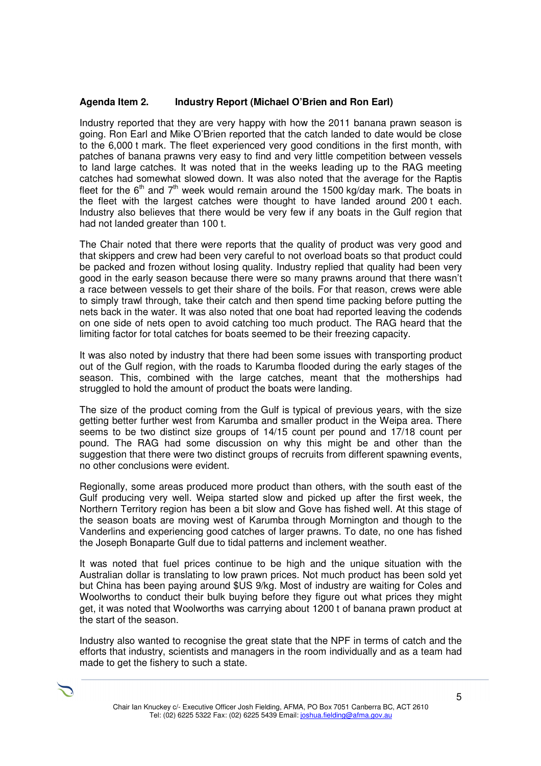## **Agenda Item 2. Industry Report (Michael O'Brien and Ron Earl)**

Industry reported that they are very happy with how the 2011 banana prawn season is going. Ron Earl and Mike O'Brien reported that the catch landed to date would be close to the 6,000 t mark. The fleet experienced very good conditions in the first month, with patches of banana prawns very easy to find and very little competition between vessels to land large catches. It was noted that in the weeks leading up to the RAG meeting catches had somewhat slowed down. It was also noted that the average for the Raptis fleet for the  $6<sup>th</sup>$  and  $7<sup>th</sup>$  week would remain around the 1500 kg/day mark. The boats in the fleet with the largest catches were thought to have landed around 200 t each. Industry also believes that there would be very few if any boats in the Gulf region that had not landed greater than 100 t.

The Chair noted that there were reports that the quality of product was very good and that skippers and crew had been very careful to not overload boats so that product could be packed and frozen without losing quality. Industry replied that quality had been very good in the early season because there were so many prawns around that there wasn't a race between vessels to get their share of the boils. For that reason, crews were able to simply trawl through, take their catch and then spend time packing before putting the nets back in the water. It was also noted that one boat had reported leaving the codends on one side of nets open to avoid catching too much product. The RAG heard that the limiting factor for total catches for boats seemed to be their freezing capacity.

It was also noted by industry that there had been some issues with transporting product out of the Gulf region, with the roads to Karumba flooded during the early stages of the season. This, combined with the large catches, meant that the motherships had struggled to hold the amount of product the boats were landing.

The size of the product coming from the Gulf is typical of previous years, with the size getting better further west from Karumba and smaller product in the Weipa area. There seems to be two distinct size groups of 14/15 count per pound and 17/18 count per pound. The RAG had some discussion on why this might be and other than the suggestion that there were two distinct groups of recruits from different spawning events, no other conclusions were evident.

Regionally, some areas produced more product than others, with the south east of the Gulf producing very well. Weipa started slow and picked up after the first week, the Northern Territory region has been a bit slow and Gove has fished well. At this stage of the season boats are moving west of Karumba through Mornington and though to the Vanderlins and experiencing good catches of larger prawns. To date, no one has fished the Joseph Bonaparte Gulf due to tidal patterns and inclement weather.

It was noted that fuel prices continue to be high and the unique situation with the Australian dollar is translating to low prawn prices. Not much product has been sold yet but China has been paying around \$US 9/kg. Most of industry are waiting for Coles and Woolworths to conduct their bulk buying before they figure out what prices they might get, it was noted that Woolworths was carrying about 1200 t of banana prawn product at the start of the season.

Industry also wanted to recognise the great state that the NPF in terms of catch and the efforts that industry, scientists and managers in the room individually and as a team had made to get the fishery to such a state.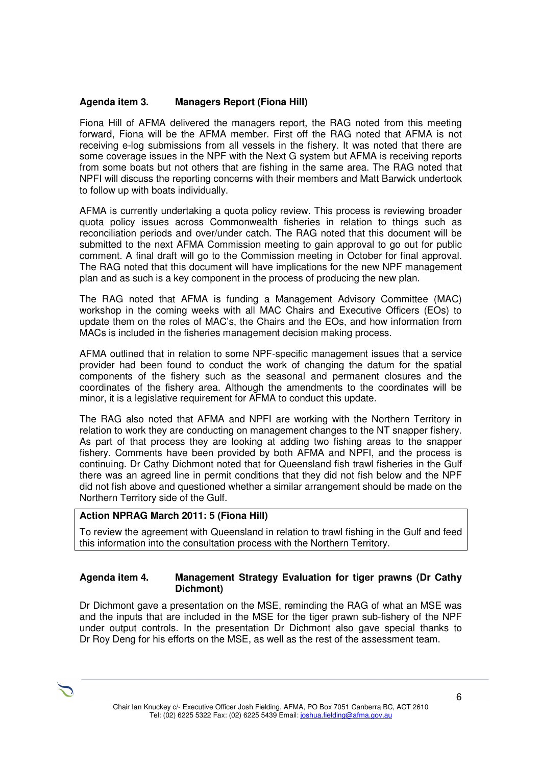## **Agenda item 3. Managers Report (Fiona Hill)**

Fiona Hill of AFMA delivered the managers report, the RAG noted from this meeting forward, Fiona will be the AFMA member. First off the RAG noted that AFMA is not receiving e-log submissions from all vessels in the fishery. It was noted that there are some coverage issues in the NPF with the Next G system but AFMA is receiving reports from some boats but not others that are fishing in the same area. The RAG noted that NPFI will discuss the reporting concerns with their members and Matt Barwick undertook to follow up with boats individually.

AFMA is currently undertaking a quota policy review. This process is reviewing broader quota policy issues across Commonwealth fisheries in relation to things such as reconciliation periods and over/under catch. The RAG noted that this document will be submitted to the next AFMA Commission meeting to gain approval to go out for public comment. A final draft will go to the Commission meeting in October for final approval. The RAG noted that this document will have implications for the new NPF management plan and as such is a key component in the process of producing the new plan.

The RAG noted that AFMA is funding a Management Advisory Committee (MAC) workshop in the coming weeks with all MAC Chairs and Executive Officers (EOs) to update them on the roles of MAC's, the Chairs and the EOs, and how information from MACs is included in the fisheries management decision making process.

AFMA outlined that in relation to some NPF-specific management issues that a service provider had been found to conduct the work of changing the datum for the spatial components of the fishery such as the seasonal and permanent closures and the coordinates of the fishery area. Although the amendments to the coordinates will be minor, it is a legislative requirement for AFMA to conduct this update.

The RAG also noted that AFMA and NPFI are working with the Northern Territory in relation to work they are conducting on management changes to the NT snapper fishery. As part of that process they are looking at adding two fishing areas to the snapper fishery. Comments have been provided by both AFMA and NPFI, and the process is continuing. Dr Cathy Dichmont noted that for Queensland fish trawl fisheries in the Gulf there was an agreed line in permit conditions that they did not fish below and the NPF did not fish above and questioned whether a similar arrangement should be made on the Northern Territory side of the Gulf.

## **Action NPRAG March 2011: 5 (Fiona Hill)**

To review the agreement with Queensland in relation to trawl fishing in the Gulf and feed this information into the consultation process with the Northern Territory.

#### **Agenda item 4. Management Strategy Evaluation for tiger prawns (Dr Cathy Dichmont)**

Dr Dichmont gave a presentation on the MSE, reminding the RAG of what an MSE was and the inputs that are included in the MSE for the tiger prawn sub-fishery of the NPF under output controls. In the presentation Dr Dichmont also gave special thanks to Dr Roy Deng for his efforts on the MSE, as well as the rest of the assessment team.

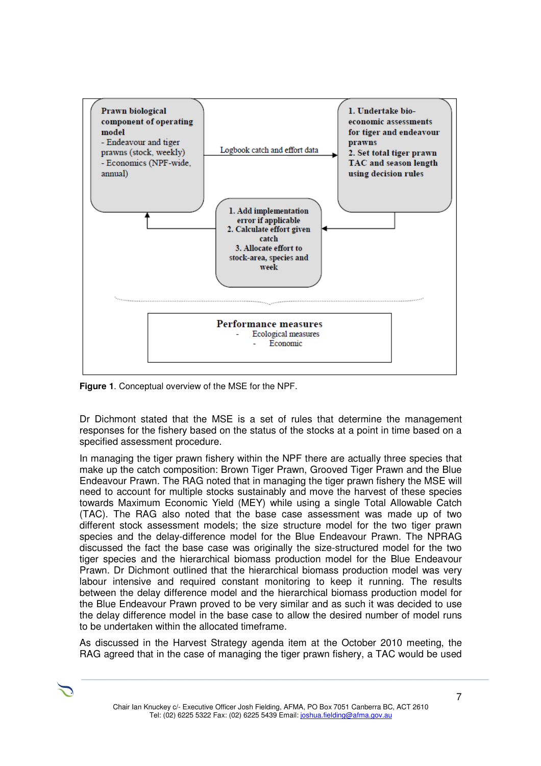

**Figure 1**. Conceptual overview of the MSE for the NPF.

Dr Dichmont stated that the MSE is a set of rules that determine the management responses for the fishery based on the status of the stocks at a point in time based on a specified assessment procedure.

In managing the tiger prawn fishery within the NPF there are actually three species that make up the catch composition: Brown Tiger Prawn, Grooved Tiger Prawn and the Blue Endeavour Prawn. The RAG noted that in managing the tiger prawn fishery the MSE will need to account for multiple stocks sustainably and move the harvest of these species towards Maximum Economic Yield (MEY) while using a single Total Allowable Catch (TAC). The RAG also noted that the base case assessment was made up of two different stock assessment models; the size structure model for the two tiger prawn species and the delay-difference model for the Blue Endeavour Prawn. The NPRAG discussed the fact the base case was originally the size-structured model for the two tiger species and the hierarchical biomass production model for the Blue Endeavour Prawn. Dr Dichmont outlined that the hierarchical biomass production model was very labour intensive and required constant monitoring to keep it running. The results between the delay difference model and the hierarchical biomass production model for the Blue Endeavour Prawn proved to be very similar and as such it was decided to use the delay difference model in the base case to allow the desired number of model runs to be undertaken within the allocated timeframe.

As discussed in the Harvest Strategy agenda item at the October 2010 meeting, the RAG agreed that in the case of managing the tiger prawn fishery, a TAC would be used

Chair Ian Knuckey c/- Executive Officer Josh Fielding, AFMA, PO Box 7051 Canberra BC, ACT 2610 Tel: (02) 6225 5322 Fax: (02) 6225 5439 Email: joshua.fielding@afma.gov.au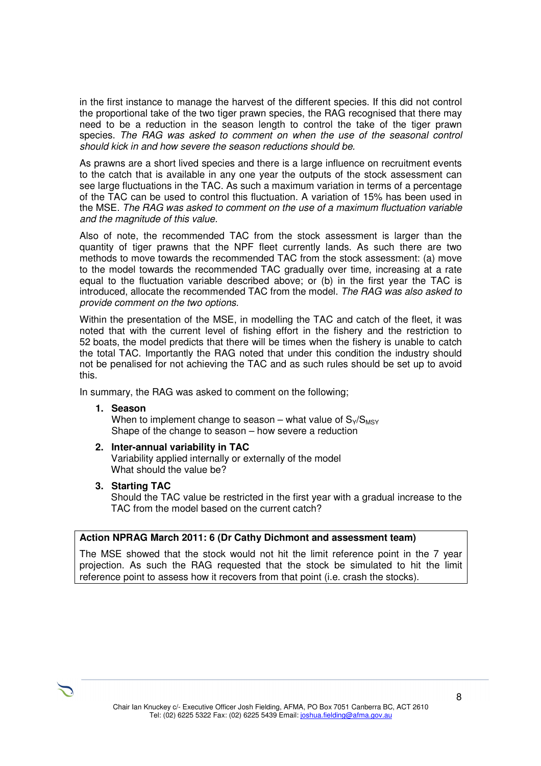in the first instance to manage the harvest of the different species. If this did not control the proportional take of the two tiger prawn species, the RAG recognised that there may need to be a reduction in the season length to control the take of the tiger prawn species. The RAG was asked to comment on when the use of the seasonal control should kick in and how severe the season reductions should be.

As prawns are a short lived species and there is a large influence on recruitment events to the catch that is available in any one year the outputs of the stock assessment can see large fluctuations in the TAC. As such a maximum variation in terms of a percentage of the TAC can be used to control this fluctuation. A variation of 15% has been used in the MSE. The RAG was asked to comment on the use of a maximum fluctuation variable and the magnitude of this value.

Also of note, the recommended TAC from the stock assessment is larger than the quantity of tiger prawns that the NPF fleet currently lands. As such there are two methods to move towards the recommended TAC from the stock assessment: (a) move to the model towards the recommended TAC gradually over time, increasing at a rate equal to the fluctuation variable described above; or (b) in the first year the TAC is introduced, allocate the recommended TAC from the model. The RAG was also asked to provide comment on the two options.

Within the presentation of the MSE, in modelling the TAC and catch of the fleet, it was noted that with the current level of fishing effort in the fishery and the restriction to 52 boats, the model predicts that there will be times when the fishery is unable to catch the total TAC. Importantly the RAG noted that under this condition the industry should not be penalised for not achieving the TAC and as such rules should be set up to avoid this.

In summary, the RAG was asked to comment on the following;

**1. Season** 

When to implement change to season – what value of  $S_{\gamma}/S_{\text{MSY}}$ Shape of the change to season – how severe a reduction

**2. Inter-annual variability in TAC** 

Variability applied internally or externally of the model What should the value be?

**3. Starting TAC** 

Should the TAC value be restricted in the first year with a gradual increase to the TAC from the model based on the current catch?

## **Action NPRAG March 2011: 6 (Dr Cathy Dichmont and assessment team)**

The MSE showed that the stock would not hit the limit reference point in the 7 year projection. As such the RAG requested that the stock be simulated to hit the limit reference point to assess how it recovers from that point (i.e. crash the stocks).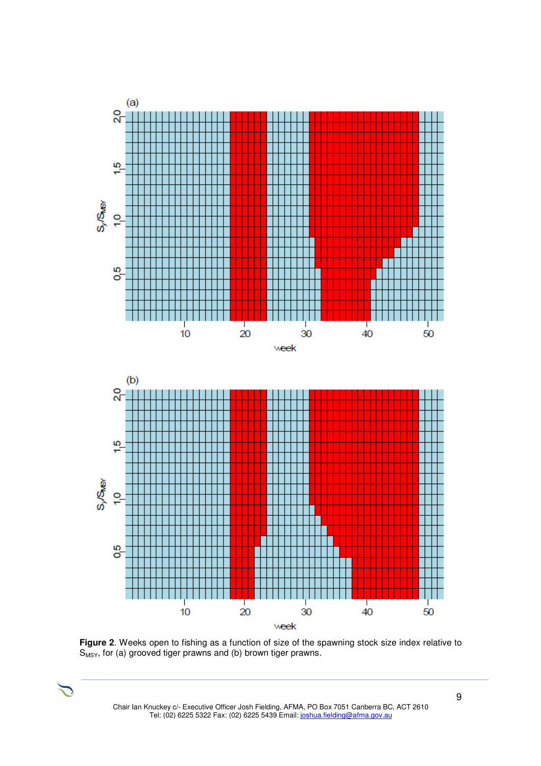

**Figure 2**. Weeks open to fishing as a function of size of the spawning stock size index relative to  $S_{MSY}$ , for (a) grooved tiger prawns and (b) brown tiger prawns.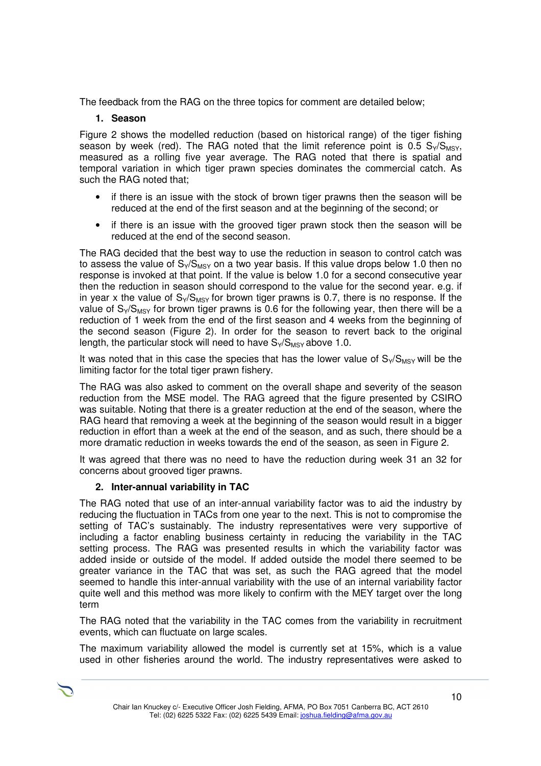The feedback from the RAG on the three topics for comment are detailed below;

# **1. Season**

Figure 2 shows the modelled reduction (based on historical range) of the tiger fishing season by week (red). The RAG noted that the limit reference point is  $0.5 S<sub>y</sub>/S<sub>MSY</sub>$ , measured as a rolling five year average. The RAG noted that there is spatial and temporal variation in which tiger prawn species dominates the commercial catch. As such the RAG noted that:

- if there is an issue with the stock of brown tiger prawns then the season will be reduced at the end of the first season and at the beginning of the second; or
- if there is an issue with the grooved tiger prawn stock then the season will be reduced at the end of the second season.

The RAG decided that the best way to use the reduction in season to control catch was to assess the value of  $S_{\gamma}/S_{\text{MSY}}$  on a two year basis. If this value drops below 1.0 then no response is invoked at that point. If the value is below 1.0 for a second consecutive year then the reduction in season should correspond to the value for the second year. e.g. if in year x the value of  $S_V/S_{MSY}$  for brown tiger prawns is 0.7, there is no response. If the value of  $S_V/S_{MSV}$  for brown tiger prawns is 0.6 for the following year, then there will be a reduction of 1 week from the end of the first season and 4 weeks from the beginning of the second season (Figure 2). In order for the season to revert back to the original length, the particular stock will need to have  $S_{\gamma}/S_{\text{MSY}}$  above 1.0.

It was noted that in this case the species that has the lower value of  $S_V/S_{MSY}$  will be the limiting factor for the total tiger prawn fishery.

The RAG was also asked to comment on the overall shape and severity of the season reduction from the MSE model. The RAG agreed that the figure presented by CSIRO was suitable. Noting that there is a greater reduction at the end of the season, where the RAG heard that removing a week at the beginning of the season would result in a bigger reduction in effort than a week at the end of the season, and as such, there should be a more dramatic reduction in weeks towards the end of the season, as seen in Figure 2.

It was agreed that there was no need to have the reduction during week 31 an 32 for concerns about grooved tiger prawns.

## **2. Inter-annual variability in TAC**

The RAG noted that use of an inter-annual variability factor was to aid the industry by reducing the fluctuation in TACs from one year to the next. This is not to compromise the setting of TAC's sustainably. The industry representatives were very supportive of including a factor enabling business certainty in reducing the variability in the TAC setting process. The RAG was presented results in which the variability factor was added inside or outside of the model. If added outside the model there seemed to be greater variance in the TAC that was set, as such the RAG agreed that the model seemed to handle this inter-annual variability with the use of an internal variability factor quite well and this method was more likely to confirm with the MEY target over the long term

The RAG noted that the variability in the TAC comes from the variability in recruitment events, which can fluctuate on large scales.

The maximum variability allowed the model is currently set at 15%, which is a value used in other fisheries around the world. The industry representatives were asked to

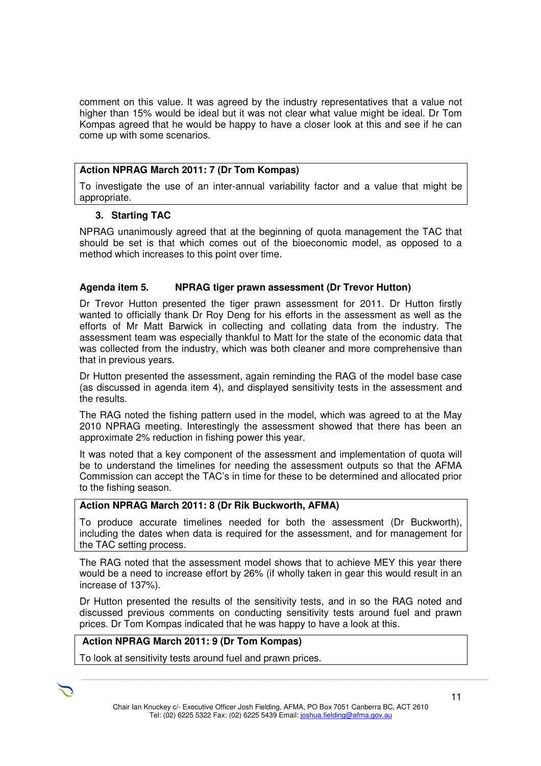comment on this value. It was agreed by the industry representatives that a value not higher than 15% would be ideal but it was not clear what value might be ideal. Dr Tom Kompas agreed that he would be happy to have a closer look at this and see if he can come up with some scenarios.

## **Action NPRAG March 2011: 7 (Dr Tom Kompas)**

To investigate the use of an inter-annual variability factor and a value that might be appropriate.

# **3. Starting TAC**

NPRAG unanimously agreed that at the beginning of quota management the TAC that should be set is that which comes out of the bioeconomic model, as opposed to a method which increases to this point over time.

## **Agenda item 5. NPRAG tiger prawn assessment (Dr Trevor Hutton)**

Dr Trevor Hutton presented the tiger prawn assessment for 2011. Dr Hutton firstly wanted to officially thank Dr Roy Deng for his efforts in the assessment as well as the efforts of Mr Matt Barwick in collecting and collating data from the industry. The assessment team was especially thankful to Matt for the state of the economic data that was collected from the industry, which was both cleaner and more comprehensive than that in previous years.

Dr Hutton presented the assessment, again reminding the RAG of the model base case (as discussed in agenda item 4), and displayed sensitivity tests in the assessment and the results.

The RAG noted the fishing pattern used in the model, which was agreed to at the May 2010 NPRAG meeting. Interestingly the assessment showed that there has been an approximate 2% reduction in fishing power this year.

It was noted that a key component of the assessment and implementation of quota will be to understand the timelines for needing the assessment outputs so that the AFMA Commission can accept the TAC's in time for these to be determined and allocated prior to the fishing season.

## **Action NPRAG March 2011: 8 (Dr Rik Buckworth, AFMA)**

To produce accurate timelines needed for both the assessment (Dr Buckworth), including the dates when data is required for the assessment, and for management for the TAC setting process.

The RAG noted that the assessment model shows that to achieve MEY this year there would be a need to increase effort by 26% (if wholly taken in gear this would result in an increase of 137%).

Dr Hutton presented the results of the sensitivity tests, and in so the RAG noted and discussed previous comments on conducting sensitivity tests around fuel and prawn prices. Dr Tom Kompas indicated that he was happy to have a look at this.

## **Action NPRAG March 2011: 9 (Dr Tom Kompas)**

To look at sensitivity tests around fuel and prawn prices.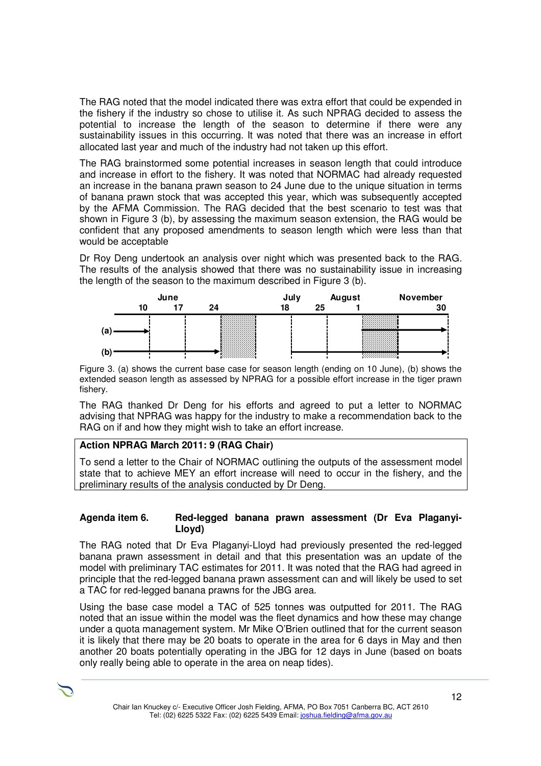The RAG noted that the model indicated there was extra effort that could be expended in the fishery if the industry so chose to utilise it. As such NPRAG decided to assess the potential to increase the length of the season to determine if there were any sustainability issues in this occurring. It was noted that there was an increase in effort allocated last year and much of the industry had not taken up this effort.

The RAG brainstormed some potential increases in season length that could introduce and increase in effort to the fishery. It was noted that NORMAC had already requested an increase in the banana prawn season to 24 June due to the unique situation in terms of banana prawn stock that was accepted this year, which was subsequently accepted by the AFMA Commission. The RAG decided that the best scenario to test was that shown in Figure 3 (b), by assessing the maximum season extension, the RAG would be confident that any proposed amendments to season length which were less than that would be acceptable

Dr Roy Deng undertook an analysis over night which was presented back to the RAG. The results of the analysis showed that there was no sustainability issue in increasing the length of the season to the maximum described in Figure 3 (b).



Figure 3. (a) shows the current base case for season length (ending on 10 June), (b) shows the extended season length as assessed by NPRAG for a possible effort increase in the tiger prawn fishery.

The RAG thanked Dr Deng for his efforts and agreed to put a letter to NORMAC advising that NPRAG was happy for the industry to make a recommendation back to the RAG on if and how they might wish to take an effort increase.

## **Action NPRAG March 2011: 9 (RAG Chair)**

To send a letter to the Chair of NORMAC outlining the outputs of the assessment model state that to achieve MEY an effort increase will need to occur in the fishery, and the preliminary results of the analysis conducted by Dr Deng.

#### **Agenda item 6. Red-legged banana prawn assessment (Dr Eva Plaganyi-Lloyd)**

The RAG noted that Dr Eva Plaganyi-Lloyd had previously presented the red-legged banana prawn assessment in detail and that this presentation was an update of the model with preliminary TAC estimates for 2011. It was noted that the RAG had agreed in principle that the red-legged banana prawn assessment can and will likely be used to set a TAC for red-legged banana prawns for the JBG area.

Using the base case model a TAC of 525 tonnes was outputted for 2011. The RAG noted that an issue within the model was the fleet dynamics and how these may change under a quota management system. Mr Mike O'Brien outlined that for the current season it is likely that there may be 20 boats to operate in the area for 6 days in May and then another 20 boats potentially operating in the JBG for 12 days in June (based on boats only really being able to operate in the area on neap tides).

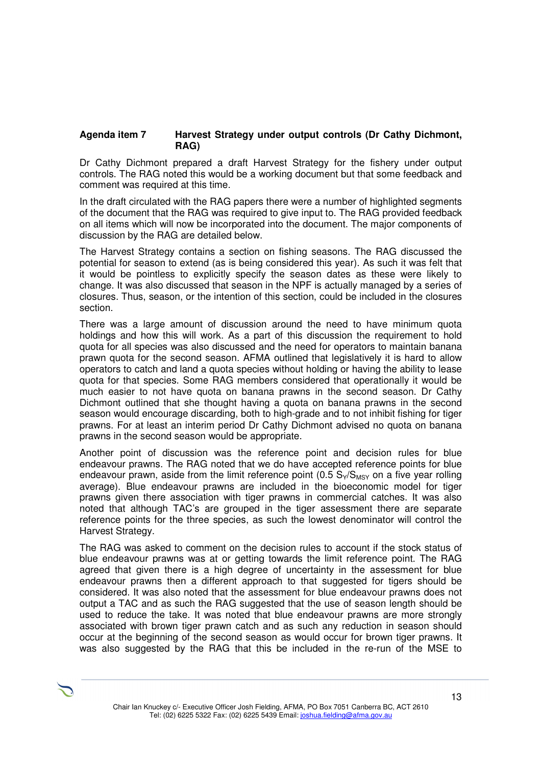#### **Agenda item 7 Harvest Strategy under output controls (Dr Cathy Dichmont, RAG)**

Dr Cathy Dichmont prepared a draft Harvest Strategy for the fishery under output controls. The RAG noted this would be a working document but that some feedback and comment was required at this time.

In the draft circulated with the RAG papers there were a number of highlighted segments of the document that the RAG was required to give input to. The RAG provided feedback on all items which will now be incorporated into the document. The major components of discussion by the RAG are detailed below.

The Harvest Strategy contains a section on fishing seasons. The RAG discussed the potential for season to extend (as is being considered this year). As such it was felt that it would be pointless to explicitly specify the season dates as these were likely to change. It was also discussed that season in the NPF is actually managed by a series of closures. Thus, season, or the intention of this section, could be included in the closures section.

There was a large amount of discussion around the need to have minimum quota holdings and how this will work. As a part of this discussion the requirement to hold quota for all species was also discussed and the need for operators to maintain banana prawn quota for the second season. AFMA outlined that legislatively it is hard to allow operators to catch and land a quota species without holding or having the ability to lease quota for that species. Some RAG members considered that operationally it would be much easier to not have quota on banana prawns in the second season. Dr Cathy Dichmont outlined that she thought having a quota on banana prawns in the second season would encourage discarding, both to high-grade and to not inhibit fishing for tiger prawns. For at least an interim period Dr Cathy Dichmont advised no quota on banana prawns in the second season would be appropriate.

Another point of discussion was the reference point and decision rules for blue endeavour prawns. The RAG noted that we do have accepted reference points for blue endeavour prawn, aside from the limit reference point (0.5  $S_{\gamma}/S_{\text{MSY}}$  on a five year rolling average). Blue endeavour prawns are included in the bioeconomic model for tiger prawns given there association with tiger prawns in commercial catches. It was also noted that although TAC's are grouped in the tiger assessment there are separate reference points for the three species, as such the lowest denominator will control the Harvest Strategy.

The RAG was asked to comment on the decision rules to account if the stock status of blue endeavour prawns was at or getting towards the limit reference point. The RAG agreed that given there is a high degree of uncertainty in the assessment for blue endeavour prawns then a different approach to that suggested for tigers should be considered. It was also noted that the assessment for blue endeavour prawns does not output a TAC and as such the RAG suggested that the use of season length should be used to reduce the take. It was noted that blue endeavour prawns are more strongly associated with brown tiger prawn catch and as such any reduction in season should occur at the beginning of the second season as would occur for brown tiger prawns. It was also suggested by the RAG that this be included in the re-run of the MSE to

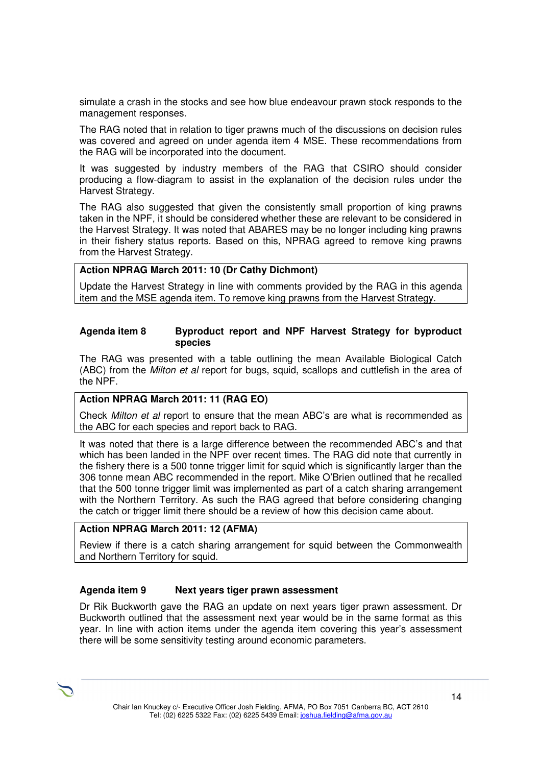simulate a crash in the stocks and see how blue endeavour prawn stock responds to the management responses.

The RAG noted that in relation to tiger prawns much of the discussions on decision rules was covered and agreed on under agenda item 4 MSE. These recommendations from the RAG will be incorporated into the document.

It was suggested by industry members of the RAG that CSIRO should consider producing a flow-diagram to assist in the explanation of the decision rules under the Harvest Strategy.

The RAG also suggested that given the consistently small proportion of king prawns taken in the NPF, it should be considered whether these are relevant to be considered in the Harvest Strategy. It was noted that ABARES may be no longer including king prawns in their fishery status reports. Based on this, NPRAG agreed to remove king prawns from the Harvest Strategy.

# **Action NPRAG March 2011: 10 (Dr Cathy Dichmont)**

Update the Harvest Strategy in line with comments provided by the RAG in this agenda item and the MSE agenda item. To remove king prawns from the Harvest Strategy.

#### **Agenda item 8 Byproduct report and NPF Harvest Strategy for byproduct species**

The RAG was presented with a table outlining the mean Available Biological Catch (ABC) from the *Milton et al* report for bugs, squid, scallops and cuttlefish in the area of the NPF.

## **Action NPRAG March 2011: 11 (RAG EO)**

Check Milton et al report to ensure that the mean ABC's are what is recommended as the ABC for each species and report back to RAG.

It was noted that there is a large difference between the recommended ABC's and that which has been landed in the NPF over recent times. The RAG did note that currently in the fishery there is a 500 tonne trigger limit for squid which is significantly larger than the 306 tonne mean ABC recommended in the report. Mike O'Brien outlined that he recalled that the 500 tonne trigger limit was implemented as part of a catch sharing arrangement with the Northern Territory. As such the RAG agreed that before considering changing the catch or trigger limit there should be a review of how this decision came about.

#### **Action NPRAG March 2011: 12 (AFMA)**

Review if there is a catch sharing arrangement for squid between the Commonwealth and Northern Territory for squid.

#### **Agenda item 9 Next years tiger prawn assessment**

Dr Rik Buckworth gave the RAG an update on next years tiger prawn assessment. Dr Buckworth outlined that the assessment next year would be in the same format as this year. In line with action items under the agenda item covering this year's assessment there will be some sensitivity testing around economic parameters.

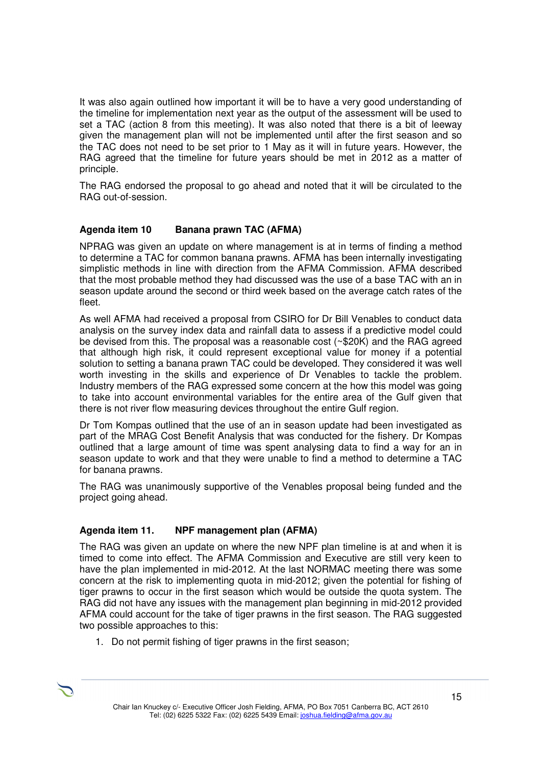It was also again outlined how important it will be to have a very good understanding of the timeline for implementation next year as the output of the assessment will be used to set a TAC (action 8 from this meeting). It was also noted that there is a bit of leeway given the management plan will not be implemented until after the first season and so the TAC does not need to be set prior to 1 May as it will in future years. However, the RAG agreed that the timeline for future years should be met in 2012 as a matter of principle.

The RAG endorsed the proposal to go ahead and noted that it will be circulated to the RAG out-of-session.

## **Agenda item 10 Banana prawn TAC (AFMA)**

NPRAG was given an update on where management is at in terms of finding a method to determine a TAC for common banana prawns. AFMA has been internally investigating simplistic methods in line with direction from the AFMA Commission. AFMA described that the most probable method they had discussed was the use of a base TAC with an in season update around the second or third week based on the average catch rates of the fleet.

As well AFMA had received a proposal from CSIRO for Dr Bill Venables to conduct data analysis on the survey index data and rainfall data to assess if a predictive model could be devised from this. The proposal was a reasonable cost (~\$20K) and the RAG agreed that although high risk, it could represent exceptional value for money if a potential solution to setting a banana prawn TAC could be developed. They considered it was well worth investing in the skills and experience of Dr Venables to tackle the problem. Industry members of the RAG expressed some concern at the how this model was going to take into account environmental variables for the entire area of the Gulf given that there is not river flow measuring devices throughout the entire Gulf region.

Dr Tom Kompas outlined that the use of an in season update had been investigated as part of the MRAG Cost Benefit Analysis that was conducted for the fishery. Dr Kompas outlined that a large amount of time was spent analysing data to find a way for an in season update to work and that they were unable to find a method to determine a TAC for banana prawns.

The RAG was unanimously supportive of the Venables proposal being funded and the project going ahead.

#### **Agenda item 11. NPF management plan (AFMA)**

The RAG was given an update on where the new NPF plan timeline is at and when it is timed to come into effect. The AFMA Commission and Executive are still very keen to have the plan implemented in mid-2012. At the last NORMAC meeting there was some concern at the risk to implementing quota in mid-2012; given the potential for fishing of tiger prawns to occur in the first season which would be outside the quota system. The RAG did not have any issues with the management plan beginning in mid-2012 provided AFMA could account for the take of tiger prawns in the first season. The RAG suggested two possible approaches to this:

1. Do not permit fishing of tiger prawns in the first season;

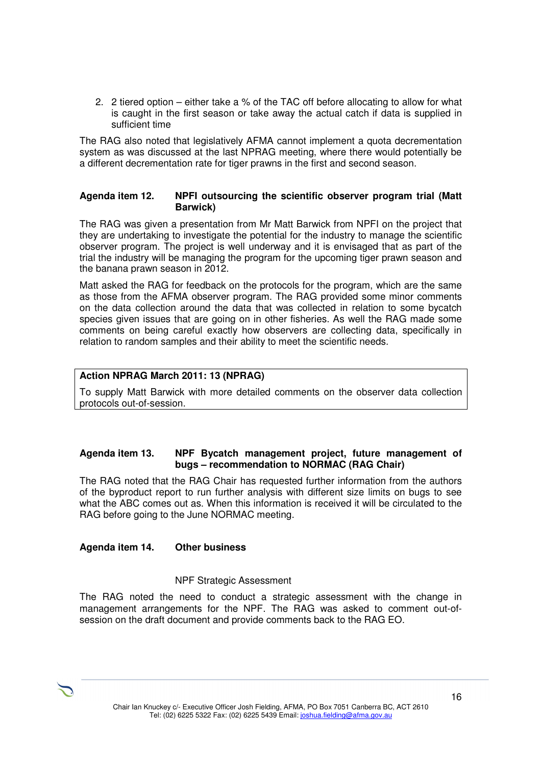2. 2 tiered option – either take a % of the TAC off before allocating to allow for what is caught in the first season or take away the actual catch if data is supplied in sufficient time

The RAG also noted that legislatively AFMA cannot implement a quota decrementation system as was discussed at the last NPRAG meeting, where there would potentially be a different decrementation rate for tiger prawns in the first and second season.

#### **Agenda item 12. NPFI outsourcing the scientific observer program trial (Matt Barwick)**

The RAG was given a presentation from Mr Matt Barwick from NPFI on the project that they are undertaking to investigate the potential for the industry to manage the scientific observer program. The project is well underway and it is envisaged that as part of the trial the industry will be managing the program for the upcoming tiger prawn season and the banana prawn season in 2012.

Matt asked the RAG for feedback on the protocols for the program, which are the same as those from the AFMA observer program. The RAG provided some minor comments on the data collection around the data that was collected in relation to some bycatch species given issues that are going on in other fisheries. As well the RAG made some comments on being careful exactly how observers are collecting data, specifically in relation to random samples and their ability to meet the scientific needs.

## **Action NPRAG March 2011: 13 (NPRAG)**

To supply Matt Barwick with more detailed comments on the observer data collection protocols out-of-session.

## **Agenda item 13. NPF Bycatch management project, future management of bugs – recommendation to NORMAC (RAG Chair)**

The RAG noted that the RAG Chair has requested further information from the authors of the byproduct report to run further analysis with different size limits on bugs to see what the ABC comes out as. When this information is received it will be circulated to the RAG before going to the June NORMAC meeting.

## **Agenda item 14. Other business**

#### NPF Strategic Assessment

The RAG noted the need to conduct a strategic assessment with the change in management arrangements for the NPF. The RAG was asked to comment out-ofsession on the draft document and provide comments back to the RAG EO.